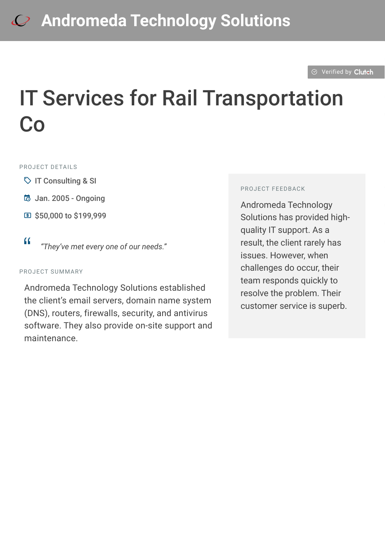#### $\odot$  [Verified by](https://clutch.co?utm_source=case_studies&utm_medium=verified_by_clutch) Clutch

# IT Services for Rail Transportation Co

#### PROJECT DETAILS

- $\heartsuit$  IT Consulting & SI
- B Jan. 2005 Ongoing
- **国 \$50,000 to \$199,999**
- <sup>D</sup> *"They've met every one of our needs."*

#### PROJECT SUMMARY

Andromeda Technology Solutions established the client's email servers, domain name system (DNS), routers, firewalls, security, and antivirus software. They also provide on-site support and maintenance.

#### PROJECT FEEDBACK

Andromeda Technology Solutions has provided highquality IT support. As a result, the client rarely has issues. However, when challenges do occur, their team responds quickly to resolve the problem. Their customer service is superb.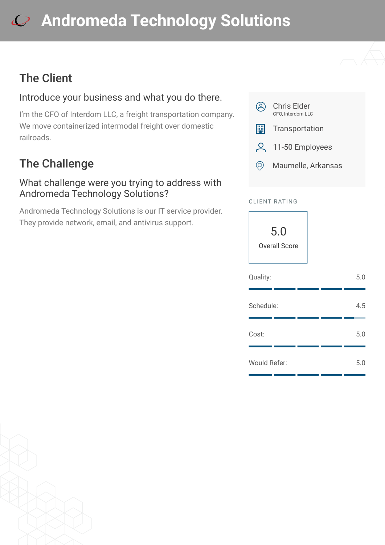# **[A](https://clutch.co/profile/andromeda-technology-solutions?utm_source=case_studies&utm_medium=logo)ndromeda Technology Solutions**

## The Client

## Introduce your business and what you do there.

I'm the CFO of Interdom LLC, a freight transportation company. We move containerized intermodal freight over domestic railroads.

# The Challenge

#### What challenge were you trying to address with Andromeda Technology Solutions?

Andromeda Technology Solutions is our IT service provider. They provide network, email, and antivirus support.



#### CLIENT RATING



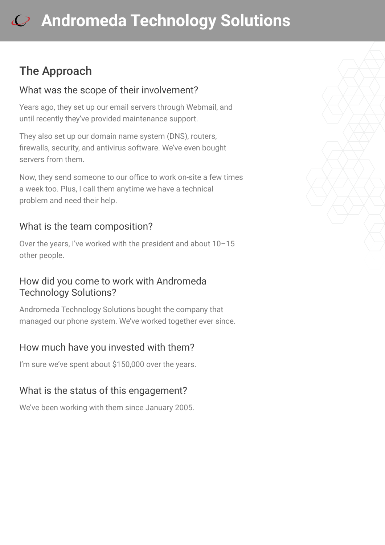# **[A](https://clutch.co/profile/andromeda-technology-solutions?utm_source=case_studies&utm_medium=logo)ndromeda Technology Solutions**

## The Approach

#### What was the scope of their involvement?

Years ago, they set up our email servers through Webmail, and until recently they've provided maintenance support.

They also set up our domain name system (DNS), routers, firewalls, security, and antivirus software. We've even bought servers from them.

Now, they send someone to our office to work on-site a few times a week too. Plus, I call them anytime we have a technical problem and need their help.

#### What is the team composition?

Over the years, I've worked with the president and about 10–15 other people.

#### How did you come to work with Andromeda Technology Solutions?

Andromeda Technology Solutions bought the company that managed our phone system. We've worked together ever since.

## How much have you invested with them?

I'm sure we've spent about \$150,000 over the years.

## What is the status of this engagement?

We've been working with them since January 2005.